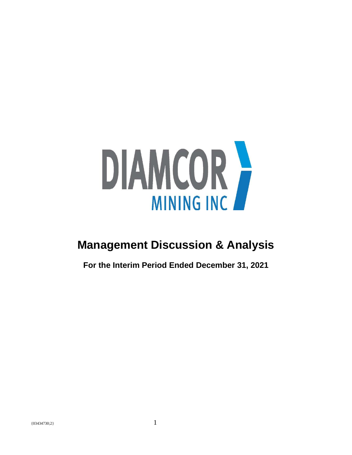

# **Management Discussion & Analysis**

**For the Interim Period Ended December 31, 2021**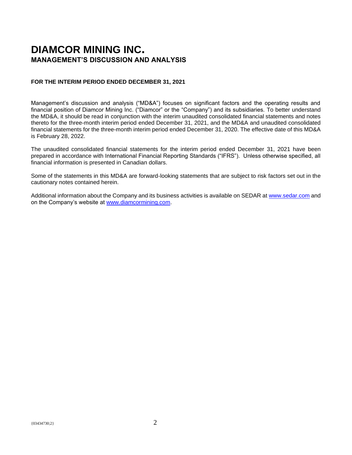# **DIAMCOR MINING INC. MANAGEMENT'S DISCUSSION AND ANALYSIS**

# **FOR THE INTERIM PERIOD ENDED DECEMBER 31, 2021**

Management's discussion and analysis ("MD&A") focuses on significant factors and the operating results and financial position of Diamcor Mining Inc. ("Diamcor" or the "Company") and its subsidiaries. To better understand the MD&A, it should be read in conjunction with the interim unaudited consolidated financial statements and notes thereto for the three-month interim period ended December 31, 2021, and the MD&A and unaudited consolidated financial statements for the three-month interim period ended December 31, 2020. The effective date of this MD&A is February 28, 2022.

The unaudited consolidated financial statements for the interim period ended December 31, 2021 have been prepared in accordance with International Financial Reporting Standards ("IFRS"). Unless otherwise specified, all financial information is presented in Canadian dollars.

Some of the statements in this MD&A are forward-looking statements that are subject to risk factors set out in the cautionary notes contained herein.

Additional information about the Company and its business activities is available on SEDAR at [www.sedar.com](http://www.sedar.com/) and on the Company's website at [www.diamcormining.com.](http://www.diamcormining.com/)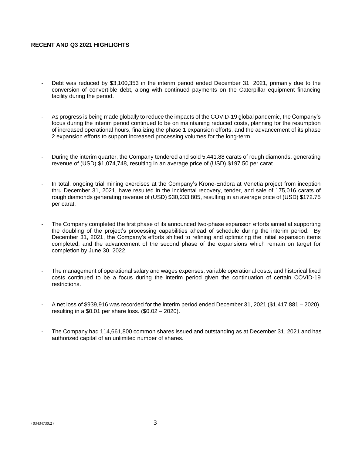# **RECENT AND Q3 2021 HIGHLIGHTS**

- Debt was reduced by \$3,100,353 in the interim period ended December 31, 2021, primarily due to the conversion of convertible debt, along with continued payments on the Caterpillar equipment financing facility during the period.
- As progress is being made globally to reduce the impacts of the COVID-19 global pandemic, the Company's focus during the interim period continued to be on maintaining reduced costs, planning for the resumption of increased operational hours, finalizing the phase 1 expansion efforts, and the advancement of its phase 2 expansion efforts to support increased processing volumes for the long-term.
- During the interim quarter, the Company tendered and sold 5,441.88 carats of rough diamonds, generating revenue of (USD) \$1,074,748, resulting in an average price of (USD) \$197.50 per carat.
- In total, ongoing trial mining exercises at the Company's Krone-Endora at Venetia project from inception thru December 31, 2021, have resulted in the incidental recovery, tender, and sale of 175,016 carats of rough diamonds generating revenue of (USD) \$30,233,805, resulting in an average price of (USD) \$172.75 per carat.
- The Company completed the first phase of its announced two-phase expansion efforts aimed at supporting the doubling of the project's processing capabilities ahead of schedule during the interim period. By December 31, 2021, the Company's efforts shifted to refining and optimizing the initial expansion items completed, and the advancement of the second phase of the expansions which remain on target for completion by June 30, 2022.
- The management of operational salary and wages expenses, variable operational costs, and historical fixed costs continued to be a focus during the interim period given the continuation of certain COVID-19 restrictions.
- A net loss of \$939,916 was recorded for the interim period ended December 31, 2021 (\$1,417,881 2020), resulting in a \$0.01 per share loss. (\$0.02 – 2020).
- The Company had 114,661,800 common shares issued and outstanding as at December 31, 2021 and has authorized capital of an unlimited number of shares.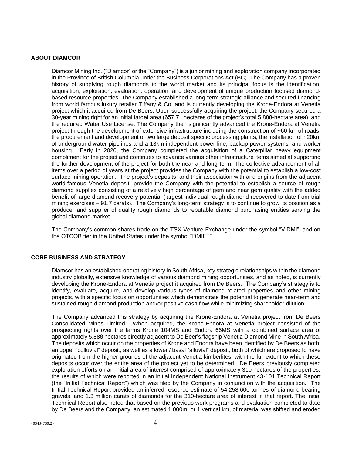# **ABOUT DIAMCOR**

Diamcor Mining Inc. ("Diamcor" or the "Company") is a junior mining and exploration company incorporated in the Province of British Columbia under the Business Corporations Act (BC). The Company has a proven history of supplying rough diamonds to the world market and its principal focus is the identification, acquisition, exploration, evaluation, operation, and development of unique production focused diamondbased resource properties. The Company established a long-term strategic alliance and secured financing from world famous luxury retailer Tiffany & Co. and is currently developing the Krone-Endora at Venetia project which it acquired from De Beers. Upon successfully acquiring the project, the Company secured a 30-year mining right for an initial target area (657.71 hectares of the project's total 5,888-hectare area), and the required Water Use License. The Company then significantly advanced the Krone-Endora at Venetia project through the development of extensive infrastructure including the construction of ~60 km of roads, the procurement and development of two large deposit specific processing plants, the installation of ~20km of underground water pipelines and a 13km independent power line, backup power systems, and worker housing. Early in 2020, the Company completed the acquisition of a Caterpillar heavy equipment compliment for the project and continues to advance various other infrastructure items aimed at supporting the further development of the project for both the near and long-term. The collective advancement of all items over a period of years at the project provides the Company with the potential to establish a low-cost surface mining operation. The project's deposits, and their association with and origins from the adjacent world-famous Venetia deposit, provide the Company with the potential to establish a source of rough diamond supplies consisting of a relatively high percentage of gem and near gem quality with the added benefit of large diamond recovery potential (largest individual rough diamond recovered to date from trial mining exercises – 91.7 carats). The Company's long-term strategy is to continue to grow its position as a producer and supplier of quality rough diamonds to reputable diamond purchasing entities serving the global diamond market.

The Company's common shares trade on the TSX Venture Exchange under the symbol "V.DMI", and on the OTCQB tier in the United States under the symbol "DMIFF".

# **CORE BUSINESS AND STRATEGY**

Diamcor has an established operating history in South Africa, key strategic relationships within the diamond industry globally, extensive knowledge of various diamond mining opportunities, and as noted, is currently developing the Krone-Endora at Venetia project it acquired from De Beers. The Company's strategy is to identify, evaluate, acquire, and develop various types of diamond related properties and other mining projects, with a specific focus on opportunities which demonstrate the potential to generate near-term and sustained rough diamond production and/or positive cash flow while minimizing shareholder dilution.

The Company advanced this strategy by acquiring the Krone-Endora at Venetia project from De Beers Consolidated Mines Limited. When acquired, the Krone-Endora at Venetia project consisted of the prospecting rights over the farms Krone 104MS and Endora 66MS with a combined surface area of approximately 5,888 hectares directly adjacent to De Beer's flagship Venetia Diamond Mine in South Africa. The deposits which occur on the properties of Krone and Endora have been identified by De Beers as both, an upper "colluvial" deposit, as well as a lower / basal "alluvial" deposit, both of which are proposed to have originated from the higher grounds of the adjacent Venetia kimberlites, with the full extent to which these deposits occur over the entire area of the project yet to be determined. De Beers previously completed exploration efforts on an initial area of interest comprised of approximately 310 hectares of the properties, the results of which were reported in an initial Independent National Instrument 43-101 Technical Report (the "Initial Technical Report") which was filed by the Company in conjunction with the acquisition. The Initial Technical Report provided an inferred resource estimate of 54,258,600 tonnes of diamond bearing gravels, and 1.3 million carats of diamonds for the 310-hectare area of interest in that report. The Initial Technical Report also noted that based on the previous work programs and evaluation completed to date by De Beers and the Company, an estimated 1,000m, or 1 vertical km, of material was shifted and eroded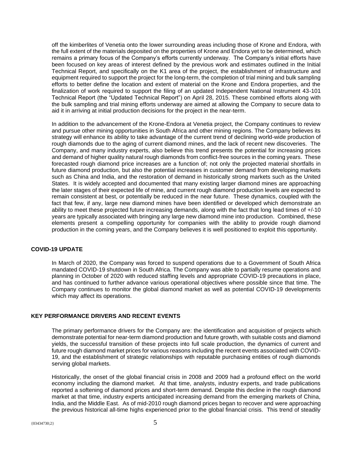off the kimberlites of Venetia onto the lower surrounding areas including those of Krone and Endora, with the full extent of the materials deposited on the properties of Krone and Endora yet to be determined, which remains a primary focus of the Company's efforts currently underway. The Company's initial efforts have been focused on key areas of interest defined by the previous work and estimates outlined in the Initial Technical Report, and specifically on the K1 area of the project, the establishment of infrastructure and equipment required to support the project for the long-term, the completion of trial mining and bulk sampling efforts to better define the location and extent of material on the Krone and Endora properties, and the finalization of work required to support the filing of an updated Independent National Instrument 43-101 Technical Report (the "Updated Technical Report") on April 28, 2015. These combined efforts along with the bulk sampling and trial mining efforts underway are aimed at allowing the Company to secure data to aid it in arriving at initial production decisions for the project in the near-term.

In addition to the advancement of the Krone-Endora at Venetia project, the Company continues to review and pursue other mining opportunities in South Africa and other mining regions. The Company believes its strategy will enhance its ability to take advantage of the current trend of declining world-wide production of rough diamonds due to the aging of current diamond mines, and the lack of recent new discoveries. The Company, and many industry experts, also believe this trend presents the potential for increasing prices and demand of higher quality natural rough diamonds from conflict-free sources in the coming years. These forecasted rough diamond price increases are a function of; not only the projected material shortfalls in future diamond production, but also the potential increases in customer demand from developing markets such as China and India, and the restoration of demand in historically strong markets such as the United States. It is widely accepted and documented that many existing larger diamond mines are approaching the later stages of their expected life of mine, and current rough diamond production levels are expected to remain consistent at best, or potentially be reduced in the near future. These dynamics, coupled with the fact that few, if any, large new diamond mines have been identified or developed which demonstrate an ability to meet these projected future increasing demands, along with the fact that long lead times of +/-10 years are typically associated with bringing any large new diamond mine into production. Combined, these elements present a compelling opportunity for companies with the ability to provide rough diamond production in the coming years, and the Company believes it is well positioned to exploit this opportunity.

# **COVID-19 UPDATE**

In March of 2020, the Company was forced to suspend operations due to a Government of South Africa mandated COVID-19 shutdown in South Africa. The Company was able to partially resume operations and planning in October of 2020 with reduced staffing levels and appropriate COVID-19 precautions in place, and has continued to further advance various operational objectives where possible since that time. The Company continues to monitor the global diamond market as well as potential COVID-19 developments which may affect its operations.

# **KEY PERFORMANCE DRIVERS AND RECENT EVENTS**

The primary performance drivers for the Company are: the identification and acquisition of projects which demonstrate potential for near-term diamond production and future growth, with suitable costs and diamond yields, the successful transition of these projects into full scale production, the dynamics of current and future rough diamond market prices for various reasons including the recent events associated with COVID-19, and the establishment of strategic relationships with reputable purchasing entities of rough diamonds serving global markets.

Historically, the onset of the global financial crisis in 2008 and 2009 had a profound effect on the world economy including the diamond market. At that time, analysts, industry experts, and trade publications reported a softening of diamond prices and short-term demand. Despite this decline in the rough diamond market at that time, industry experts anticipated increasing demand from the emerging markets of China, India, and the Middle East. As of mid-2010 rough diamond prices began to recover and were approaching the previous historical all-time highs experienced prior to the global financial crisis. This trend of steadily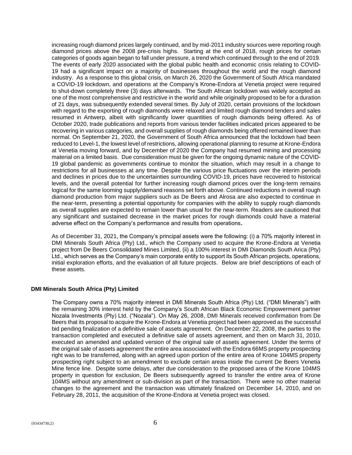increasing rough diamond prices largely continued, and by mid-2011 industry sources were reporting rough diamond prices above the 2008 pre-crisis highs. Starting at the end of 2018, rough prices for certain categories of goods again began to fall under pressure, a trend which continued through to the end of 2019. The events of early 2020 associated with the global public health and economic crisis relating to COVID-19 had a significant impact on a majority of businesses throughout the world and the rough diamond industry. As a response to this global crisis, on March 26, 2020 the Government of South Africa mandated a COVID-19 lockdown, and operations at the Company's Krone-Endora at Venetia project were required to shut-down completely three (3) days afterwards. The South African lockdown was widely accepted as one of the most comprehensive and restrictive in the world and while originally proposed to be for a duration of 21 days, was subsequently extended several times. By July of 2020, certain provisions of the lockdown with regard to the exporting of rough diamonds were relaxed and limited rough diamond tenders and sales resumed in Antwerp, albeit with significantly lower quantities of rough diamonds being offered. As of October 2020, trade publications and reports from various tender facilities indicated prices appeared to be recovering in various categories, and overall supplies of rough diamonds being offered remained lower than normal. On September 21, 2020, the Government of South Africa announced that the lockdown had been reduced to Level-1, the lowest level of restrictions, allowing operational planning to resume at Krone-Endora at Venetia moving forward, and by December of 2020 the Company had resumed mining and processing material on a limited basis. Due consideration must be given for the ongoing dynamic nature of the COVID-19 global pandemic as governments continue to monitor the situation, which may result in a change to restrictions for all businesses at any time. Despite the various price fluctuations over the interim periods and declines in prices due to the uncertainties surrounding COVID-19, prices have recovered to historical levels, and the overall potential for further increasing rough diamond prices over the long-term remains logical for the same looming supply/demand reasons set forth above. Continued reductions in overall rough diamond production from major suppliers such as De Beers and Alrosa are also expected to continue in the near-term, presenting a potential opportunity for companies with the ability to supply rough diamonds as overall supplies are expected to remain lower than usual for the near-term. Readers are cautioned that any significant and sustained decrease in the market prices for rough diamonds could have a material adverse effect on the Company's performance and results from operations**.**

As of December 31, 2021, the Company's principal assets were the following: (i) a 70% majority interest in DMI Minerals South Africa (Pty) Ltd., which the Company used to acquire the Krone-Endora at Venetia project from De Beers Consolidated Mines Limited, (ii) a 100% interest in DMI Diamonds South Arica (Pty) Ltd., which serves as the Company's main corporate entity to support its South African projects, operations, initial exploration efforts, and the evaluation of all future projects. Below are brief descriptions of each of these assets.

# **DMI Minerals South Africa (Pty) Limited**

The Company owns a 70% majority interest in DMI Minerals South Africa (Pty) Ltd. ("DMI Minerals") with the remaining 30% interest held by the Company's South African Black Economic Empowerment partner Nozala Investments (Pty) Ltd. ("Nozala"). On May 26, 2008, DMI Minerals received confirmation from De Beers that its proposal to acquire the Krone-Endora at Venetia project had been approved as the successful bid pending finalization of a definitive sale of assets agreement. On December 22, 2008, the parties to the transaction completed and executed a definitive sale of assets agreement, and then on March 31, 2010, executed an amended and updated version of the original sale of assets agreement. Under the terms of the original sale of assets agreement the entire area associated with the Endora 66MS property prospecting right was to be transferred, along with an agreed upon portion of the entire area of Krone 104MS property prospecting right subject to an amendment to exclude certain areas inside the current De Beers Venetia Mine fence line. Despite some delays, after due consideration to the proposed area of the Krone 104MS property in question for exclusion, De Beers subsequently agreed to transfer the entire area of Krone 104MS without any amendment or sub-division as part of the transaction. There were no other material changes to the agreement and the transaction was ultimately finalized on December 14, 2010, and on February 28, 2011, the acquisition of the Krone-Endora at Venetia project was closed.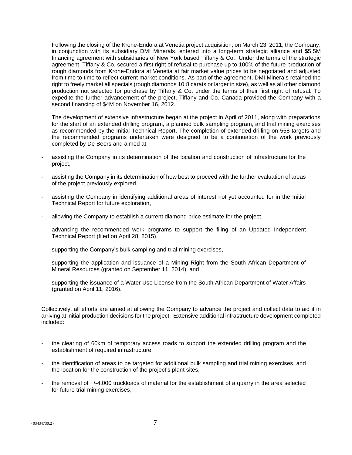Following the closing of the Krone-Endora at Venetia project acquisition, on March 23, 2011, the Company, in conjunction with its subsidiary DMI Minerals, entered into a long-term strategic alliance and \$5.5M financing agreement with subsidiaries of New York based Tiffany & Co. Under the terms of the strategic agreement, Tiffany & Co. secured a first right of refusal to purchase up to 100% of the future production of rough diamonds from Krone-Endora at Venetia at fair market value prices to be negotiated and adjusted from time to time to reflect current market conditions. As part of the agreement, DMI Minerals retained the right to freely market all specials (rough diamonds 10.8 carats or larger in size), as well as all other diamond production not selected for purchase by Tiffany & Co. under the terms of their first right of refusal. To expedite the further advancement of the project, Tiffany and Co. Canada provided the Company with a second financing of \$4M on November 16, 2012.

The development of extensive infrastructure began at the project in April of 2011, along with preparations for the start of an extended drilling program, a planned bulk sampling program, and trial mining exercises as recommended by the Initial Technical Report. The completion of extended drilling on 558 targets and the recommended programs undertaken were designed to be a continuation of the work previously completed by De Beers and aimed at:

- assisting the Company in its determination of the location and construction of infrastructure for the project,
- assisting the Company in its determination of how best to proceed with the further evaluation of areas of the project previously explored,
- assisting the Company in identifying additional areas of interest not yet accounted for in the Initial Technical Report for future exploration,
- allowing the Company to establish a current diamond price estimate for the project,
- advancing the recommended work programs to support the filing of an Updated Independent Technical Report (filed on April 28, 2015),
- supporting the Company's bulk sampling and trial mining exercises,
- supporting the application and issuance of a Mining Right from the South African Department of Mineral Resources (granted on September 11, 2014), and
- supporting the issuance of a Water Use License from the South African Department of Water Affairs (granted on April 11, 2016).

Collectively, all efforts are aimed at allowing the Company to advance the project and collect data to aid it in arriving at initial production decisions for the project. Extensive additional infrastructure development completed included:

- the clearing of 60km of temporary access roads to support the extended drilling program and the establishment of required infrastructure,
- the identification of areas to be targeted for additional bulk sampling and trial mining exercises, and the location for the construction of the project's plant sites,
- the removal of +/-4,000 truckloads of material for the establishment of a quarry in the area selected for future trial mining exercises,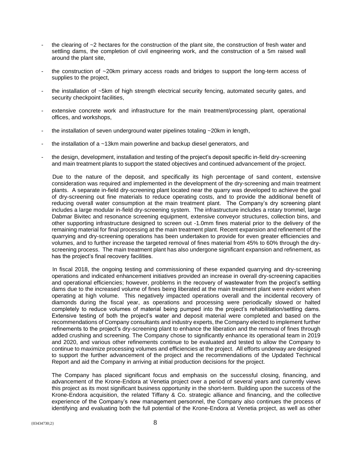- the clearing of  $\sim$  2 hectares for the construction of the plant site, the construction of fresh water and settling dams, the completion of civil engineering work, and the construction of a 5m raised wall around the plant site,
- the construction of ~20km primary access roads and bridges to support the long-term access of supplies to the project,
- the installation of ~5km of high strength electrical security fencing, automated security gates, and security checkpoint facilities,
- extensive concrete work and infrastructure for the main treatment/processing plant, operational offices, and workshops,
- the installation of seven underground water pipelines totaling  $\sim$  20km in length,
- the installation of a  $\sim$ 13km main powerline and backup diesel generators, and
- the design, development, installation and testing of the project's deposit specific in-field dry-screening and main treatment plants to support the stated objectives and continued advancement of the project.

Due to the nature of the deposit, and specifically its high percentage of sand content, extensive consideration was required and implemented in the development of the dry-screening and main treatment plants. A separate in-field dry-screening plant located near the quarry was developed to achieve the goal of dry-screening out fine materials to reduce operating costs, and to provide the additional benefit of reducing overall water consumption at the main treatment plant. The Company's dry screening plant includes a large modular in-field dry-screening system. The infrastructure includes a rotary trommel, large Dabmar Bivitec and resonance screening equipment, extensive conveyor structures, collection bins, and other supporting infrastructure designed to screen out -1.0mm fines material prior to the delivery of the remaining material for final processing at the main treatment plant. Recent expansion and refinement of the quarrying and dry-screening operations has been undertaken to provide for even greater efficiencies and volumes, and to further increase the targeted removal of fines material from 45% to 60% through the dryscreening process. The main treatment plant has also undergone significant expansion and refinement, as has the project's final recovery facilities.

In fiscal 2018, the ongoing testing and commissioning of these expanded quarrying and dry-screening operations and indicated enhancement initiatives provided an increase in overall dry-screening capacities and operational efficiencies; however, problems in the recovery of wastewater from the project's settling dams due to the increased volume of fines being liberated at the main treatment plant were evident when operating at high volume. This negatively impacted operations overall and the incidental recovery of diamonds during the fiscal year, as operations and processing were periodically slowed or halted completely to reduce volumes of material being pumped into the project's rehabilitation/settling dams. Extensive testing of both the project's water and deposit material were completed and based on the recommendations of Company consultants and industry experts, the Company elected to implement further refinements to the project's dry-screening plant to enhance the liberation and the removal of fines through added crushing and screening. The Company chose to significantly enhance its operational team in 2019 and 2020, and various other refinements continue to be evaluated and tested to allow the Company to continue to maximize processing volumes and efficiencies at the project. All efforts underway are designed to support the further advancement of the project and the recommendations of the Updated Technical Report and aid the Company in arriving at initial production decisions for the project.

The Company has placed significant focus and emphasis on the successful closing, financing, and advancement of the Krone-Endora at Venetia project over a period of several years and currently views this project as its most significant business opportunity in the short-term. Building upon the success of the Krone-Endora acquisition, the related Tiffany & Co. strategic alliance and financing, and the collective experience of the Company's new management personnel, the Company also continues the process of identifying and evaluating both the full potential of the Krone-Endora at Venetia project, as well as other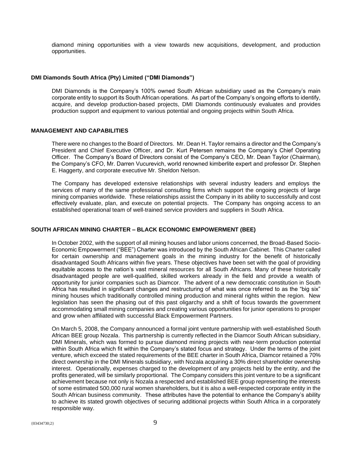diamond mining opportunities with a view towards new acquisitions, development, and production opportunities.

# **DMI Diamonds South Africa (Pty) Limited ("DMI Diamonds")**

DMI Diamonds is the Company's 100% owned South African subsidiary used as the Company's main corporate entity to support its South African operations. As part of the Company's ongoing efforts to identify, acquire, and develop production-based projects, DMI Diamonds continuously evaluates and provides production support and equipment to various potential and ongoing projects within South Africa.

# **MANAGEMENT AND CAPABILITIES**

There were no changes to the Board of Directors. Mr. Dean H. Taylor remains a director and the Company's President and Chief Executive Officer, and Dr. Kurt Petersen remains the Company's Chief Operating Officer. The Company's Board of Directors consist of the Company's CEO, Mr. Dean Taylor (Chairman), the Company's CFO, Mr. Darren Vucurevich, world renowned kimberlite expert and professor Dr. Stephen E. Haggerty, and corporate executive Mr. Sheldon Nelson.

The Company has developed extensive relationships with several industry leaders and employs the services of many of the same professional consulting firms which support the ongoing projects of large mining companies worldwide. These relationships assist the Company in its ability to successfully and cost effectively evaluate, plan, and execute on potential projects. The Company has ongoing access to an established operational team of well-trained service providers and suppliers in South Africa.

# **SOUTH AFRICAN MINING CHARTER – BLACK ECONOMIC EMPOWERMENT (BEE)**

In October 2002, with the support of all mining houses and labor unions concerned, the Broad-Based Socio-Economic Empowerment ("BEE") Charter was introduced by the South African Cabinet. This Charter called for certain ownership and management goals in the mining industry for the benefit of historically disadvantaged South Africans within five years. These objectives have been set with the goal of providing equitable access to the nation's vast mineral resources for all South Africans. Many of these historically disadvantaged people are well-qualified, skilled workers already in the field and provide a wealth of opportunity for junior companies such as Diamcor. The advent of a new democratic constitution in South Africa has resulted in significant changes and restructuring of what was once referred to as the "big six" mining houses which traditionally controlled mining production and mineral rights within the region. New legislation has seen the phasing out of this past oligarchy and a shift of focus towards the government accommodating small mining companies and creating various opportunities for junior operations to prosper and grow when affiliated with successful Black Empowerment Partners.

On March 5, 2008, the Company announced a formal joint venture partnership with well-established South African BEE group Nozala. This partnership is currently reflected in the Diamcor South African subsidiary, DMI Minerals, which was formed to pursue diamond mining projects with near-term production potential within South Africa which fit within the Company's stated focus and strategy. Under the terms of the joint venture, which exceed the stated requirements of the BEE charter in South Africa, Diamcor retained a 70% direct ownership in the DMI Minerals subsidiary, with Nozala acquiring a 30% direct shareholder ownership interest. Operationally, expenses charged to the development of any projects held by the entity, and the profits generated, will be similarly proportional. The Company considers this joint venture to be a significant achievement because not only is Nozala a respected and established BEE group representing the interests of some estimated 500,000 rural women shareholders, but it is also a well-respected corporate entity in the South African business community. These attributes have the potential to enhance the Company's ability to achieve its stated growth objectives of securing additional projects within South Africa in a corporately responsible way.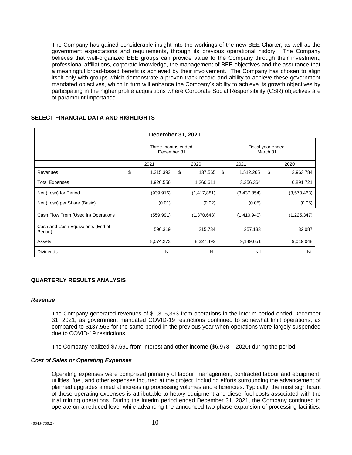The Company has gained considerable insight into the workings of the new BEE Charter, as well as the government expectations and requirements, through its previous operational history. The Company believes that well-organized BEE groups can provide value to the Company through their investment, professional affiliations, corporate knowledge, the management of BEE objectives and the assurance that a meaningful broad-based benefit is achieved by their involvement. The Company has chosen to align itself only with groups which demonstrate a proven track record and ability to achieve these government mandated objectives, which in turn will enhance the Company's ability to achieve its growth objectives by participating in the higher profile acquisitions where Corporate Social Responsibility (CSR) objectives are of paramount importance.

| December 31, 2021                            |                                    |            |    |                                |    |             |    |             |  |
|----------------------------------------------|------------------------------------|------------|----|--------------------------------|----|-------------|----|-------------|--|
|                                              | Three months ended.<br>December 31 |            |    | Fiscal year ended.<br>March 31 |    |             |    |             |  |
|                                              |                                    | 2021       |    | 2020                           |    | 2021        |    | 2020        |  |
| Revenues                                     | \$                                 | 1,315,393  | \$ | 137,565                        | \$ | 1,512,265   | \$ | 3,963,784   |  |
| <b>Total Expenses</b>                        |                                    | 1,926,556  |    | 1,260,611                      |    | 3,356,364   |    | 6,891,721   |  |
| Net (Loss) for Period                        |                                    | (939, 916) |    | (1, 417, 881)                  |    | (3,437,854) |    | (3,570,463) |  |
| Net (Loss) per Share (Basic)                 |                                    | (0.01)     |    | (0.02)                         |    | (0.05)      |    | (0.05)      |  |
| Cash Flow From (Used in) Operations          |                                    | (559, 991) |    | (1,370,648)                    |    | (1,410,940) |    | (1,225,347) |  |
| Cash and Cash Equivalents (End of<br>Period) |                                    | 596,319    |    | 215,734                        |    | 257,133     |    | 32,087      |  |
| Assets                                       |                                    | 8,074,273  |    | 8,327,492                      |    | 9,149,651   |    | 9,019,048   |  |
| <b>Dividends</b>                             |                                    | Nil        |    | Nil                            |    | Nil         |    | Nil         |  |

# **SELECT FINANCIAL DATA AND HIGHLIGHTS**

# **QUARTERLY RESULTS ANALYSIS**

#### *Revenue*

The Company generated revenues of \$1,315,393 from operations in the interim period ended December 31, 2021, as government mandated COVID-19 restrictions continued to somewhat limit operations, as compared to \$137,565 for the same period in the previous year when operations were largely suspended due to COVID-19 restrictions.

The Company realized \$7,691 from interest and other income (\$6,978 – 2020) during the period.

# *Cost of Sales or Operating Expenses*

Operating expenses were comprised primarily of labour, management, contracted labour and equipment, utilities, fuel, and other expenses incurred at the project, including efforts surrounding the advancement of planned upgrades aimed at increasing processing volumes and efficiencies. Typically, the most significant of these operating expenses is attributable to heavy equipment and diesel fuel costs associated with the trial mining operations. During the interim period ended December 31, 2021, the Company continued to operate on a reduced level while advancing the announced two phase expansion of processing facilities,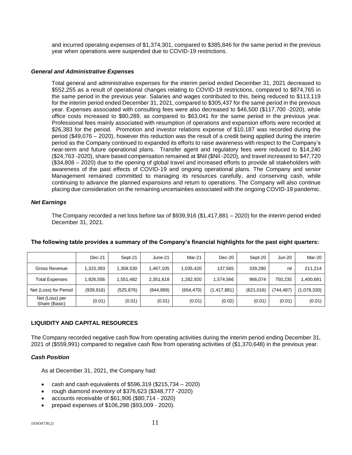and incurred operating expenses of \$1,374,301, compared to \$385,846 for the same period in the previous year when operations were suspended due to COVID-19 restrictions.

# *General and Administrative Expenses*

Total general and administrative expenses for the interim period ended December 31, 2021 decreased to \$552,255 as a result of operational changes relating to COVID-19 restrictions, compared to \$874,765 in the same period in the previous year. Salaries and wages contributed to this, being reduced to \$113,119 for the interim period ended December 31, 2021, compared to \$305,437 for the same period in the previous year. Expenses associated with consulting fees were also decreased to \$46,500 (\$117,700 -2020), while office costs increased to \$80,289, as compared to \$63,041 for the same period in the previous year. Professional fees mainly associated with resumption of operations and expansion efforts were recorded at \$26,383 for the period. Promotion and investor relations expense of \$10,187 was recorded during the period (\$49,076 – 2020), however this reduction was the result of a credit being applied during the interim period as the Company continued to expanded its efforts to raise awareness with respect to the Company's near-term and future operational plans. Transfer agent and regulatory fees were reduced to \$14,240 (\$24,763 -2020), share based compensation remained at \$Nil (\$Nil -2020), and travel increased to \$47,720 (\$34,808 – 2020) due to the opening of global travel and increased efforts to provide all stakeholders with awareness of the past effects of COVID-19 and ongoing operational plans. The Company and senior Management remained committed to managing its resources carefully, and conserving cash, while continuing to advance the planned expansions and return to operations. The Company will also continue placing due consideration on the remaining uncertainties associated with the ongoing COVID-19 pandemic.

# *Net Earnings*

The Company recorded a net loss before tax of \$939,916 (\$1,417,881 – 2020) for the interim period ended December 31, 2021.

|                                 | $Dec-21$   | Sept-21    | June-21    | Mar-21     | $Dec-20$      | Sept-20    | Jun-20    | Mar-20      |
|---------------------------------|------------|------------|------------|------------|---------------|------------|-----------|-------------|
| Gross Revenue                   | 1,315,393  | 1.358.530  | 1.467.105  | 1.035.420  | 137.565       | 339.280    | nil       | 211,214     |
| Total Expenses                  | 1,926,556  | 1,551,482  | 2,351,618  | 1,282,920  | 1.574.566     | 966.074    | 750.235   | 1,400,681   |
| Net (Loss) for Period           | (939, 916) | (525, 876) | (844, 899) | (654, 470) | (1, 417, 881) | (621, 016) | (744.487) | (1,078,330) |
| Net (Loss) per<br>Share (Basic) | (0.01)     | (0.01)     | (0.01)     | (0.01)     | (0.02)        | (0.01)     | (0.01)    | (0.01)      |

# **The following table provides a summary of the Company's financial highlights for the past eight quarters:**

# **LIQUIDITY AND CAPITAL RESOURCES**

The Company recorded negative cash flow from operating activities during the interim period ending December 31, 2021 of (\$559,991) compared to negative cash flow from operating activities of (\$1,370,648) in the previous year.

# *Cash Position*

As at December 31, 2021, the Company had:

- cash and cash equivalents of  $$596,319$   $(\$215,734 2020)$
- rough diamond inventory of \$376,623 (\$348,777 -2020)
- accounts receivable of \$61,906 (\$80,714 2020)
- prepaid expenses of \$106,298 (\$93,009 2020).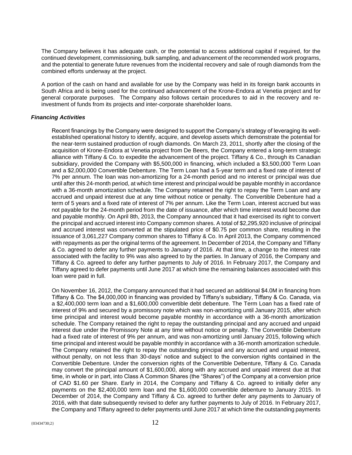The Company believes it has adequate cash, or the potential to access additional capital if required, for the continued development, commissioning, bulk sampling, and advancement of the recommended work programs, and the potential to generate future revenues from the incidental recovery and sale of rough diamonds from the combined efforts underway at the project.

A portion of the cash on hand and available for use by the Company was held in its foreign bank accounts in South Africa and is being used for the continued advancement of the Krone-Endora at Venetia project and for general corporate purposes. The Company also follows certain procedures to aid in the recovery and reinvestment of funds from its projects and inter-corporate shareholder loans.

# *Financing Activities*

Recent financings by the Company were designed to support the Company's strategy of leveraging its wellestablished operational history to identify, acquire, and develop assets which demonstrate the potential for the near-term sustained production of rough diamonds. On March 23, 2011, shortly after the closing of the acquisition of Krone-Endora at Venetia project from De Beers, the Company entered a long-term strategic alliance with Tiffany & Co. to expedite the advancement of the project. Tiffany & Co., through its Canadian subsidiary, provided the Company with \$5,500,000 in financing, which included a \$3,500,000 Term Loan and a \$2,000,000 Convertible Debenture. The Term Loan had a 5-year term and a fixed rate of interest of 7% per annum. The loan was non-amortizing for a 24-month period and no interest or principal was due until after this 24-month period, at which time interest and principal would be payable monthly in accordance with a 36-month amortization schedule. The Company retained the right to repay the Term Loan and any accrued and unpaid interest due at any time without notice or penalty. The Convertible Debenture had a term of 5 years and a fixed rate of interest of 7% per annum. Like the Term Loan, interest accrued but was not payable for the 24-month period from the date of issuance, after which time interest would become due and payable monthly. On April 8th, 2013, the Company announced that it had exercised its right to convert the principal and accrued interest into Company common shares. A total of \$2,295,920 inclusive of principal and accrued interest was converted at the stipulated price of \$0.75 per common share, resulting in the issuance of 3,061,227 Company common shares to Tiffany & Co. In April 2013, the Company commenced with repayments as per the original terms of the agreement. In December of 2014, the Company and Tiffany & Co. agreed to defer any further payments to January of 2016. At that time, a change to the interest rate associated with the facility to 9% was also agreed to by the parties. In January of 2016, the Company and Tiffany & Co. agreed to defer any further payments to July of 2016. In February 2017, the Company and Tiffany agreed to defer payments until June 2017 at which time the remaining balances associated with this loan were paid in full.

On November 16, 2012, the Company announced that it had secured an additional \$4.0M in financing from Tiffany & Co. The \$4,000,000 in financing was provided by Tiffany's subsidiary, Tiffany & Co. Canada, via a \$2,400,000 term loan and a \$1,600,000 convertible debt debenture. The Term Loan has a fixed rate of interest of 9% and secured by a promissory note which was non-amortizing until January 2015, after which time principal and interest would become payable monthly in accordance with a 36-month amortization schedule. The Company retained the right to repay the outstanding principal and any accrued and unpaid interest due under the Promissory Note at any time without notice or penalty. The Convertible Debenture had a fixed rate of interest of 9% per annum, and was non-amortizing until January 2015, following which time principal and interest would be payable monthly in accordance with a 36-month amortization schedule. The Company retained the right to repay the outstanding principal and any accrued and unpaid interest, without penalty, on not less than 30-days' notice and subject to the conversion rights contained in the Convertible Debenture. Under the conversion rights of the Convertible Debenture, Tiffany & Co. Canada may convert the principal amount of \$1,600,000, along with any accrued and unpaid interest due at that time, in whole or in part, into Class A Common Shares (the "Shares") of the Company at a conversion price of CAD \$1.60 per Share. Early in 2014, the Company and Tiffany & Co. agreed to initially defer any payments on the \$2,400,000 term loan and the \$1,600,000 convertible debenture to January 2015. In December of 2014, the Company and Tiffany & Co. agreed to further defer any payments to January of 2016, with that date subsequently revised to defer any further payments to July of 2016. In February 2017, the Company and Tiffany agreed to defer payments until June 2017 at which time the outstanding payments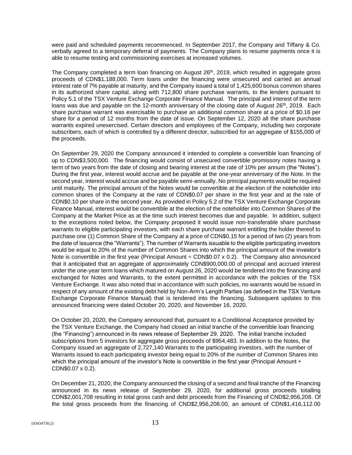were paid and scheduled payments recommenced. In September 2017, the Company and Tiffany & Co. verbally agreed to a temporary deferral of payments. The Company plans to resume payments once it is able to resume testing and commissioning exercises at increased volumes.

The Company completed a term loan financing on August 26<sup>th</sup>, 2019, which resulted in aggregate gross proceeds of CDN\$1,188,000. Term loans under the financing were unsecured and carried an annual interest rate of 7% payable at maturity, and the Company issued a total of 1,425,600 bonus common shares in its authorized share capital, along with 712,800 share purchase warrants, to the lenders pursuant to Policy 5.1 of the TSX Venture Exchange Corporate Finance Manual. The principal and interest of the term loans was due and payable on the 12-month anniversary of the closing date of August  $26<sup>th</sup>$ , 2019. Each share purchase warrant was exercisable to purchase an additional common share at a price of \$0.16 per share for a period of 12 months from the date of issue. On September 12, 2020 all the share purchase warrants expired unexercised. Certain directors and employees of the Company, including two corporate subscribers, each of which is controlled by a different director, subscribed for an aggregate of \$155,000 of the proceeds.

On September 29, 2020 the Company announced it intended to complete a convertible loan financing of up to CDN\$3,500,000. The financing would consist of unsecured convertible promissory notes having a term of two years from the date of closing and bearing interest at the rate of 10% per annum (the "Notes"). During the first year, interest would accrue and be payable at the one-year anniversary of the Note. In the second year, interest would accrue and be payable semi-annually. No principal payments would be required until maturity. The principal amount of the Notes would be convertible at the election of the noteholder into common shares of the Company at the rate of CDN\$0.07 per share in the first year and at the rate of CDN\$0.10 per share in the second year. As provided in Policy 5.2 of the TSX Venture Exchange Corporate Finance Manual, interest would be convertible at the election of the noteholder into Common Shares of the Company at the Market Price as at the time such interest becomes due and payable. In addition, subject to the exceptions noted below, the Company proposed it would issue non-transferable share purchase warrants to eligible participating investors, with each share purchase warrant entitling the holder thereof to purchase one (1) Common Share of the Company at a price of CDN\$0.15 for a period of two (2) years from the date of issuance (the "Warrants"). The number of Warrants issuable to the eligible participating investors would be equal to 20% of the number of Common Shares into which the principal amount of the investor's Note is convertible in the first year (Principal Amount  $\div$  CDN\$0.07 x 0.2). The Company also announced that it anticipated that an aggregate of approximately CDN\$900,000.00 of principal and accrued interest under the one-year term loans which matured on August 26, 2020 would be tendered into the financing and exchanged for Notes and Warrants, to the extent permitted in accordance with the policies of the TSX Venture Exchange. It was also noted that in accordance with such policies, no warrants would be issued in respect of any amount of the existing debt held by Non-Arm's Length Parties (as defined in the TSX Venture Exchange Corporate Finance Manual) that is tendered into the financing. Subsequent updates to this announced financing were dated October 20, 2020, and November 16, 2020.

On October 20, 2020, the Company announced that, pursuant to a Conditional Acceptance provided by the TSX Venture Exchange, the Company had closed an initial tranche of the convertible loan financing (the "Financing") announced in its news release of September 29, 2020. The initial tranche included subscriptions from 5 investors for aggregate gross proceeds of \$954,483. In addition to the Notes, the Company issued an aggregate of 2,727,140 Warrants to the participating investors, with the number of Warrants issued to each participating investor being equal to 20% of the number of Common Shares into which the principal amount of the investor's Note is convertible in the first year (Principal Amount ÷ CDN\$0.07 x 0.2).

On December 21, 2020, the Company announced the closing of a second and final tranche of the Financing announced in its news release of September 29, 2020, for additional gross proceeds totalling CDN\$2,001,708 resulting in total gross cash and debt proceeds from the Financing of CND\$2,956,208. Of the total gross proceeds from the financing of CND\$2,956,208.00, an amount of CDN\$1,416,112.00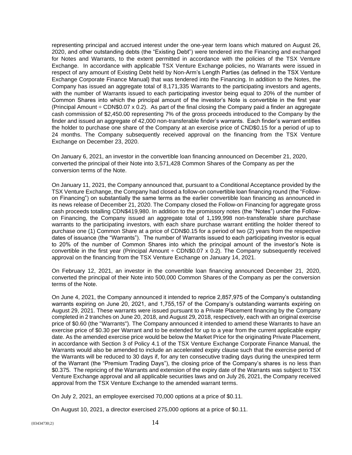representing principal and accrued interest under the one-year term loans which matured on August 26, 2020, and other outstanding debts (the "Existing Debt") were tendered into the Financing and exchanged for Notes and Warrants, to the extent permitted in accordance with the policies of the TSX Venture Exchange. In accordance with applicable TSX Venture Exchange policies, no Warrants were issued in respect of any amount of Existing Debt held by Non-Arm's Length Parties (as defined in the TSX Venture Exchange Corporate Finance Manual) that was tendered into the Financing. In addition to the Notes, the Company has issued an aggregate total of 8,171,335 Warrants to the participating investors and agents, with the number of Warrants issued to each participating investor being equal to 20% of the number of Common Shares into which the principal amount of the investor's Note is convertible in the first year (Principal Amount  $\div$  CDN\$0.07 x 0.2). As part of the final closing the Company paid a finder an aggregate cash commission of \$2,450.00 representing 7% of the gross proceeds introduced to the Company by the finder and issued an aggregate of 42,000 non-transferable finder's warrants. Each finder's warrant entitles the holder to purchase one share of the Company at an exercise price of CND\$0.15 for a period of up to 24 months. The Company subsequently received approval on the financing from the TSX Venture Exchange on December 23, 2020.

On January 6, 2021, an investor in the convertible loan financing announced on December 21, 2020, converted the principal of their Note into 3,571,428 Common Shares of the Company as per the conversion terms of the Note.

On January 11, 2021, the Company announced that, pursuant to a Conditional Acceptance provided by the TSX Venture Exchange, the Company had closed a follow-on convertible loan financing round (the "Followon Financing") on substantially the same terms as the earlier convertible loan financing as announced in its news release of December 21, 2020. The Company closed the Follow-on Financing for aggregate gross cash proceeds totalling CDN\$419,980. In addition to the promissory notes (the "Notes") under the Followon Financing, the Company issued an aggregate total of 1,199,998 non-transferable share purchase warrants to the participating investors, with each share purchase warrant entitling the holder thereof to purchase one (1) Common Share at a price of CDN\$0.15 for a period of two (2) years from the respective dates of issuance (the "Warrants"). The number of Warrants issued to each participating investor is equal to 20% of the number of Common Shares into which the principal amount of the investor's Note is convertible in the first year (Principal Amount  $\div$  CDN\$0.07 x 0.2). The Company subsequently received approval on the financing from the TSX Venture Exchange on January 14, 2021.

On February 12, 2021, an investor in the convertible loan financing announced December 21, 2020, converted the principal of their Note into 500,000 Common Shares of the Company as per the conversion terms of the Note.

On June 4, 2021, the Company announced it intended to reprice 2,857,975 of the Company's outstanding warrants expiring on June 20, 2021, and 1,755,157 of the Company's outstanding warrants expiring on August 29, 2021. These warrants were issued pursuant to a Private Placement financing by the Company completed in 2 tranches on June 20, 2018, and August 29, 2018, respectively, each with an original exercise price of \$0.60 (the "Warrants"). The Company announced it intended to amend these Warrants to have an exercise price of \$0.30 per Warrant and to be extended for up to a year from the current applicable expiry date. As the amended exercise price would be below the Market Price for the originating Private Placement, in accordance with Section 3 of Policy 4.1 of the TSX Venture Exchange Corporate Finance Manual, the Warrants would also be amended to include an accelerated expiry clause such that the exercise period of the Warrants will be reduced to 30 days if, for any ten consecutive trading days during the unexpired term of the Warrant (the "Premium Trading Days"), the closing price of the Company's shares is no less than \$0.375. The repricing of the Warrants and extension of the expiry date of the Warrants was subject to TSX Venture Exchange approval and all applicable securities laws and on July 26, 2021, the Company received approval from the TSX Venture Exchange to the amended warrant terms.

On July 2, 2021, an employee exercised 70,000 options at a price of \$0.11.

On August 10, 2021, a director exercised 275,000 options at a price of \$0.11.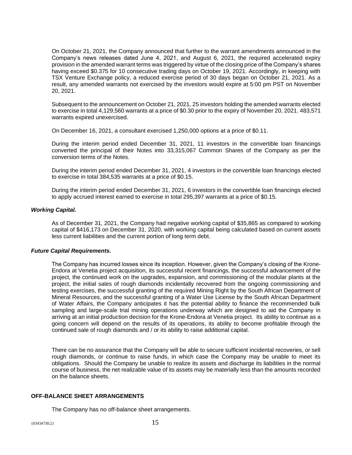On October 21, 2021, the Company announced that further to the warrant amendments announced in the Company's news releases dated June 4, 2021, and August 6, 2021, the required accelerated expiry provision in the amended warrant terms was triggered by virtue of the closing price of the Company's shares having exceed \$0.375 for 10 consecutive trading days on October 19, 2021. Accordingly, in keeping with TSX Venture Exchange policy, a reduced exercise period of 30 days began on October 21, 2021. As a result, any amended warrants not exercised by the investors would expire at 5:00 pm PST on November 20, 2021.

Subsequent to the announcement on October 21, 2021, 25 investors holding the amended warrants elected to exercise in total 4,129,560 warrants at a price of \$0.30 prior to the expiry of November 20, 2021. 483,571 warrants expired unexercised.

On December 16, 2021, a consultant exercised 1,250,000 options at a price of \$0.11.

During the interim period ended December 31, 2021, 11 investors in the convertible loan financings converted the principal of their Notes into 33,315,067 Common Shares of the Company as per the conversion terms of the Notes.

During the interim period ended December 31, 2021, 4 investors in the convertible loan financings elected to exercise in total 384,535 warrants at a price of \$0.15.

During the interim period ended December 31, 2021, 6 investors in the convertible loan financings elected to apply accrued interest earned to exercise in total 295,397 warrants at a price of \$0.15.

#### *Working Capital.*

As of December 31, 2021, the Company had negative working capital of \$35,865 as compared to working capital of \$416,173 on December 31, 2020, with working capital being calculated based on current assets less current liabilities and the current portion of long term debt.

# *Future Capital Requirements.*

The Company has incurred losses since its inception. However, given the Company's closing of the Krone-Endora at Venetia project acquisition, its successful recent financings, the successful advancement of the project, the continued work on the upgrades, expansion, and commissioning of the modular plants at the project, the initial sales of rough diamonds incidentally recovered from the ongoing commissioning and testing exercises, the successful granting of the required Mining Right by the South African Department of Mineral Resources, and the successful granting of a Water Use License by the South African Department of Water Affairs, the Company anticipates it has the potential ability to finance the recommended bulk sampling and large-scale trial mining operations underway which are designed to aid the Company in arriving at an initial production decision for the Krone-Endora at Venetia project. Its ability to continue as a going concern will depend on the results of its operations, its ability to become profitable through the continued sale of rough diamonds and / or its ability to raise additional capital.

There can be no assurance that the Company will be able to secure sufficient incidental recoveries, or sell rough diamonds, or continue to raise funds, in which case the Company may be unable to meet its obligations. Should the Company be unable to realize its assets and discharge its liabilities in the normal course of business, the net realizable value of its assets may be materially less than the amounts recorded on the balance sheets.

# **OFF-BALANCE SHEET ARRANGEMENTS**

The Company has no off-balance sheet arrangements.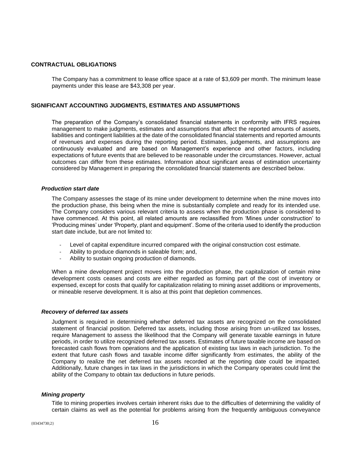# **CONTRACTUAL OBLIGATIONS**

The Company has a commitment to lease office space at a rate of \$3,609 per month. The minimum lease payments under this lease are \$43,308 per year.

# **SIGNIFICANT ACCOUNTING JUDGMENTS, ESTIMATES AND ASSUMPTIONS**

The preparation of the Company's consolidated financial statements in conformity with IFRS requires management to make judgments, estimates and assumptions that affect the reported amounts of assets, liabilities and contingent liabilities at the date of the consolidated financial statements and reported amounts of revenues and expenses during the reporting period. Estimates, judgements, and assumptions are continuously evaluated and are based on Management's experience and other factors, including expectations of future events that are believed to be reasonable under the circumstances. However, actual outcomes can differ from these estimates. Information about significant areas of estimation uncertainty considered by Management in preparing the consolidated financial statements are described below.

#### *Production start date*

The Company assesses the stage of its mine under development to determine when the mine moves into the production phase, this being when the mine is substantially complete and ready for its intended use. The Company considers various relevant criteria to assess when the production phase is considered to have commenced. At this point, all related amounts are reclassified from 'Mines under construction' to 'Producing mines' under 'Property, plant and equipment'. Some of the criteria used to identify the production start date include, but are not limited to:

- Level of capital expenditure incurred compared with the original construction cost estimate.
- Ability to produce diamonds in saleable form; and,
- Ability to sustain ongoing production of diamonds.

When a mine development project moves into the production phase, the capitalization of certain mine development costs ceases and costs are either regarded as forming part of the cost of inventory or expensed, except for costs that qualify for capitalization relating to mining asset additions or improvements, or mineable reserve development. It is also at this point that depletion commences.

#### *Recovery of deferred tax assets*

Judgment is required in determining whether deferred tax assets are recognized on the consolidated statement of financial position. Deferred tax assets, including those arising from un-utilized tax losses, require Management to assess the likelihood that the Company will generate taxable earnings in future periods, in order to utilize recognized deferred tax assets. Estimates of future taxable income are based on forecasted cash flows from operations and the application of existing tax laws in each jurisdiction. To the extent that future cash flows and taxable income differ significantly from estimates, the ability of the Company to realize the net deferred tax assets recorded at the reporting date could be impacted. Additionally, future changes in tax laws in the jurisdictions in which the Company operates could limit the ability of the Company to obtain tax deductions in future periods.

#### *Mining property*

Title to mining properties involves certain inherent risks due to the difficulties of determining the validity of certain claims as well as the potential for problems arising from the frequently ambiguous conveyance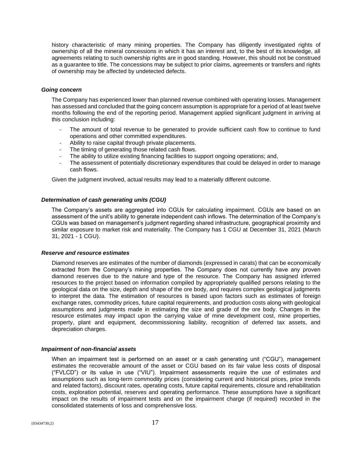history characteristic of many mining properties. The Company has diligently investigated rights of ownership of all the mineral concessions in which it has an interest and, to the best of its knowledge, all agreements relating to such ownership rights are in good standing. However, this should not be construed as a guarantee to title. The concessions may be subject to prior claims, agreements or transfers and rights of ownership may be affected by undetected defects.

# *Going concern*

The Company has experienced lower than planned revenue combined with operating losses. Management has assessed and concluded that the going concern assumption is appropriate for a period of at least twelve months following the end of the reporting period. Management applied significant judgment in arriving at this conclusion including:

- The amount of total revenue to be generated to provide sufficient cash flow to continue to fund operations and other committed expenditures.
- Ability to raise capital through private placements.
- The timing of generating those related cash flows.
- The ability to utilize existing financing facilities to support ongoing operations; and,
- The assessment of potentially discretionary expenditures that could be delayed in order to manage cash flows.

Given the judgment involved, actual results may lead to a materially different outcome.

# *Determination of cash generating units (CGU)*

The Company's assets are aggregated into CGUs for calculating impairment. CGUs are based on an assessment of the unit's ability to generate independent cash inflows. The determination of the Company's CGUs was based on management's judgment regarding shared infrastructure, geographical proximity and similar exposure to market risk and materiality. The Company has 1 CGU at December 31, 2021 (March 31, 2021 - 1 CGU).

# *Reserve and resource estimates*

Diamond reserves are estimates of the number of diamonds (expressed in carats) that can be economically extracted from the Company's mining properties. The Company does not currently have any proven diamond reserves due to the nature and type of the resource. The Company has assigned inferred resources to the project based on information compiled by appropriately qualified persons relating to the geological data on the size, depth and shape of the ore body, and requires complex geological judgments to interpret the data. The estimation of resources is based upon factors such as estimates of foreign exchange rates, commodity prices, future capital requirements, and production costs along with geological assumptions and judgments made in estimating the size and grade of the ore body. Changes in the resource estimates may impact upon the carrying value of mine development cost, mine properties, property, plant and equipment, decommissioning liability, recognition of deferred tax assets, and depreciation charges.

# *Impairment of non-financial assets*

When an impairment test is performed on an asset or a cash generating unit ("CGU"), management estimates the recoverable amount of the asset or CGU based on its fair value less costs of disposal ("FVLCD") or its value in use ("VIU"). Impairment assessments require the use of estimates and assumptions such as long-term commodity prices (considering current and historical prices, price trends and related factors), discount rates, operating costs, future capital requirements, closure and rehabilitation costs, exploration potential, reserves and operating performance. These assumptions have a significant impact on the results of impairment tests and on the impairment charge (if required) recorded in the consolidated statements of loss and comprehensive loss.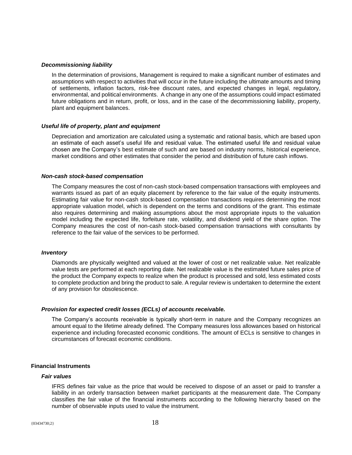#### *Decommissioning liability*

In the determination of provisions, Management is required to make a significant number of estimates and assumptions with respect to activities that will occur in the future including the ultimate amounts and timing of settlements, inflation factors, risk-free discount rates, and expected changes in legal, regulatory, environmental, and political environments. A change in any one of the assumptions could impact estimated future obligations and in return, profit, or loss, and in the case of the decommissioning liability, property, plant and equipment balances.

# *Useful life of property, plant and equipment*

Depreciation and amortization are calculated using a systematic and rational basis, which are based upon an estimate of each asset's useful life and residual value. The estimated useful life and residual value chosen are the Company's best estimate of such and are based on industry norms, historical experience, market conditions and other estimates that consider the period and distribution of future cash inflows.

#### *Non-cash stock-based compensation*

The Company measures the cost of non-cash stock-based compensation transactions with employees and warrants issued as part of an equity placement by reference to the fair value of the equity instruments. Estimating fair value for non-cash stock-based compensation transactions requires determining the most appropriate valuation model, which is dependent on the terms and conditions of the grant. This estimate also requires determining and making assumptions about the most appropriate inputs to the valuation model including the expected life, forfeiture rate, volatility, and dividend yield of the share option. The Company measures the cost of non-cash stock-based compensation transactions with consultants by reference to the fair value of the services to be performed.

#### *Inventory*

Diamonds are physically weighted and valued at the lower of cost or net realizable value. Net realizable value tests are performed at each reporting date. Net realizable value is the estimated future sales price of the product the Company expects to realize when the product is processed and sold, less estimated costs to complete production and bring the product to sale. A regular review is undertaken to determine the extent of any provision for obsolescence.

#### *Provision for expected credit losses (ECLs) of accounts receivable.*

The Company's accounts receivable is typically short-term in nature and the Company recognizes an amount equal to the lifetime already defined. The Company measures loss allowances based on historical experience and including forecasted economic conditions. The amount of ECLs is sensitive to changes in circumstances of forecast economic conditions.

# **Financial Instruments**

#### *Fair values*

IFRS defines fair value as the price that would be received to dispose of an asset or paid to transfer a liability in an orderly transaction between market participants at the measurement date. The Company classifies the fair value of the financial instruments according to the following hierarchy based on the number of observable inputs used to value the instrument.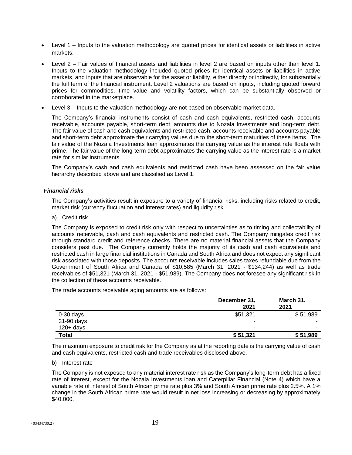- Level 1 Inputs to the valuation methodology are quoted prices for identical assets or liabilities in active markets.
- Level 2 Fair values of financial assets and liabilities in level 2 are based on inputs other than level 1. Inputs to the valuation methodology included quoted prices for identical assets or liabilities in active markets, and inputs that are observable for the asset or liability, either directly or indirectly, for substantially the full term of the financial instrument. Level 2 valuations are based on inputs, including quoted forward prices for commodities, time value and volatility factors, which can be substantially observed or corroborated in the marketplace.
- Level 3 Inputs to the valuation methodology are not based on observable market data.

The Company's financial instruments consist of cash and cash equivalents, restricted cash, accounts receivable, accounts payable, short-term debt, amounts due to Nozala Investments and long-term debt. The fair value of cash and cash equivalents and restricted cash, accounts receivable and accounts payable and short-term debt approximate their carrying values due to the short-term maturities of these items. The fair value of the Nozala Investments loan approximates the carrying value as the interest rate floats with prime. The fair value of the long-term debt approximates the carrying value as the interest rate is a market rate for similar instruments.

The Company's cash and cash equivalents and restricted cash have been assessed on the fair value hierarchy described above and are classified as Level 1.

# *Financial risks*

The Company's activities result in exposure to a variety of financial risks, including risks related to credit, market risk (currency fluctuation and interest rates) and liquidity risk.

a) Credit risk

The Company is exposed to credit risk only with respect to uncertainties as to timing and collectability of accounts receivable, cash and cash equivalents and restricted cash. The Company mitigates credit risk through standard credit and reference checks. There are no material financial assets that the Company considers past due. The Company currently holds the majority of its cash and cash equivalents and restricted cash in large financial institutions in Canada and South Africa and does not expect any significant risk associated with those deposits. The accounts receivable includes sales taxes refundable due from the Government of South Africa and Canada of \$10,585 (March 31, 2021 - \$134,244) as well as trade receivables of \$51,321 (March 31, 2021 - \$51,989). The Company does not foresee any significant risk in the collection of these accounts receivable.

The trade accounts receivable aging amounts are as follows:

|              | December 31,<br>2021 | March 31,<br>2021 |
|--------------|----------------------|-------------------|
| $0-30$ days  | \$51,321             | \$51,989          |
| 31-90 days   |                      |                   |
| $120 + days$ | ۰                    |                   |
| <b>Total</b> | \$51,321             | \$51,989          |

The maximum exposure to credit risk for the Company as at the reporting date is the carrying value of cash and cash equivalents, restricted cash and trade receivables disclosed above.

# b) Interest rate

The Company is not exposed to any material interest rate risk as the Company's long-term debt has a fixed rate of interest, except for the Nozala Investments loan and Caterpillar Financial (Note 4) which have a variable rate of interest of South African prime rate plus 3% and South African prime rate plus 2.5%. A 1% change in the South African prime rate would result in net loss increasing or decreasing by approximately \$40,000.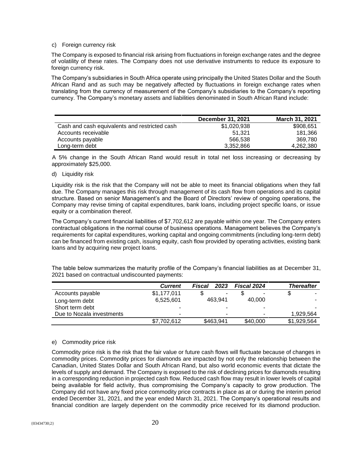# c) Foreign currency risk

The Company is exposed to financial risk arising from fluctuations in foreign exchange rates and the degree of volatility of these rates. The Company does not use derivative instruments to reduce its exposure to foreign currency risk.

The Company's subsidiaries in South Africa operate using principally the United States Dollar and the South African Rand and as such may be negatively affected by fluctuations in foreign exchange rates when translating from the currency of measurement of the Company's subsidiaries to the Company's reporting currency. The Company's monetary assets and liabilities denominated in South African Rand include:

|                                               | December 31, 2021 | March 31, 2021 |
|-----------------------------------------------|-------------------|----------------|
| Cash and cash equivalents and restricted cash | \$1,020,938       | \$908,651      |
| Accounts receivable                           | 51.321            | 181,366        |
| Accounts payable                              | 566.538           | 369.780        |
| Long-term debt                                | 3.352.866         | 4,262,380      |

A 5% change in the South African Rand would result in total net loss increasing or decreasing by approximately \$25,000.

# d) Liquidity risk

Liquidity risk is the risk that the Company will not be able to meet its financial obligations when they fall due. The Company manages this risk through management of its cash flow from operations and its capital structure. Based on senior Management's and the Board of Directors' review of ongoing operations, the Company may revise timing of capital expenditures, bank loans, including project specific loans, or issue equity or a combination thereof.

The Company's current financial liabilities of \$7,702,612 are payable within one year. The Company enters contractual obligations in the normal course of business operations. Management believes the Company's requirements for capital expenditures, working capital and ongoing commitments (including long-term debt) can be financed from existing cash, issuing equity, cash flow provided by operating activities, existing bank loans and by acquiring new project loans.

The table below summarizes the maturity profile of the Company's financial liabilities as at December 31, 2021 based on contractual undiscounted payments:

|                           | <b>Current</b>           | 2023<br>Fiscal | <b>Fiscal 2024</b> | <b>Thereafter</b> |
|---------------------------|--------------------------|----------------|--------------------|-------------------|
| Accounts payable          | \$1,177,011              | ۰              | -                  |                   |
| Long-term debt            | 6,525,601                | 463.941        | 40.000             |                   |
| Short term debt           | -                        |                | -                  | -                 |
| Due to Nozala investments | $\overline{\phantom{0}}$ |                |                    | 1,929,564         |
|                           | \$7,702,612              | \$463,941      | \$40,000           | \$1,929,564       |

# e) Commodity price risk

Commodity price risk is the risk that the fair value or future cash flows will fluctuate because of changes in commodity prices. Commodity prices for diamonds are impacted by not only the relationship between the Canadian, United States Dollar and South African Rand, but also world economic events that dictate the levels of supply and demand. The Company is exposed to the risk of declining prices for diamonds resulting in a corresponding reduction in projected cash flow. Reduced cash flow may result in lower levels of capital being available for field activity, thus compromising the Company's capacity to grow production. The Company did not have any fixed price commodity price contracts in place as at or during the interim period ended December 31, 2021, and the year ended March 31, 2021. The Company's operational results and financial condition are largely dependent on the commodity price received for its diamond production.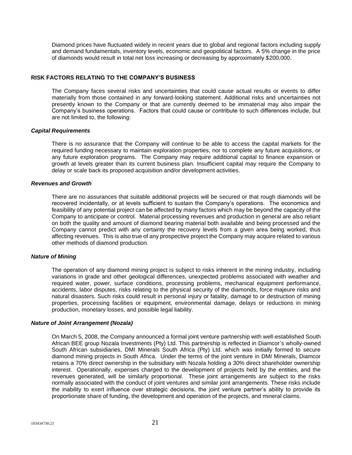Diamond prices have fluctuated widely in recent years due to global and regional factors including supply and demand fundamentals, inventory levels, economic and geopolitical factors. A 5% change in the price of diamonds would result in total net loss increasing or decreasing by approximately \$200,000.

# **RISK FACTORS RELATING TO THE COMPANY'S BUSINESS**

The Company faces several risks and uncertainties that could cause actual results or events to differ materially from those contained in any forward-looking statement. Additional risks and uncertainties not presently known to the Company or that are currently deemed to be immaterial may also impair the Company's business operations. Factors that could cause or contribute to such differences include, but are not limited to, the following:

#### *Capital Requirements*

There is no assurance that the Company will continue to be able to access the capital markets for the required funding necessary to maintain exploration properties, nor to complete any future acquisitions, or any future exploration programs. The Company may require additional capital to finance expansion or growth at levels greater than its current business plan. Insufficient capital may require the Company to delay or scale back its proposed acquisition and/or development activities.

#### *Revenues and Growth*

There are no assurances that suitable additional projects will be secured or that rough diamonds will be recovered incidentally, or at levels sufficient to sustain the Company's operations. The economics and feasibility of any potential project can be affected by many factors which may be beyond the capacity of the Company to anticipate or control. Material processing revenues and production in general are also reliant on both the quality and amount of diamond bearing material both available and being processed and the Company cannot predict with any certainty the recovery levels from a given area being worked, thus affecting revenues. This is also true of any prospective project the Company may acquire related to various other methods of diamond production.

#### *Nature of Mining*

The operation of any diamond mining project is subject to risks inherent in the mining industry, including variations in grade and other geological differences, unexpected problems associated with weather and required water, power, surface conditions, processing problems, mechanical equipment performance, accidents, labor disputes, risks relating to the physical security of the diamonds, force majeure risks and natural disasters. Such risks could result in personal injury or fatality, damage to or destruction of mining properties, processing facilities or equipment, environmental damage, delays or reductions in mining production, monetary losses, and possible legal liability.

#### *Nature of Joint Arrangement (Nozala)*

On March 5, 2008, the Company announced a formal joint venture partnership with well-established South African BEE group Nozala Investments (Pty) Ltd. This partnership is reflected in Diamcor's wholly-owned South African subsidiaries, DMI Minerals South Africa (Pty) Ltd. which was initially formed to secure diamond mining projects in South Africa. Under the terms of the joint venture in DMI Minerals, Diamcor retains a 70% direct ownership in the subsidiary with Nozala holding a 30% direct shareholder ownership interest. Operationally, expenses charged to the development of projects held by the entities, and the revenues generated, will be similarly proportional. These joint arrangements are subject to the risks normally associated with the conduct of joint ventures and similar joint arrangements. These risks include the inability to exert influence over strategic decisions, the joint venture partner's ability to provide its proportionate share of funding, the development and operation of the projects, and mineral claims.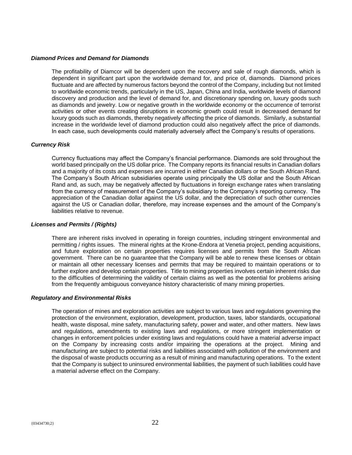# *Diamond Prices and Demand for Diamonds*

The profitability of Diamcor will be dependent upon the recovery and sale of rough diamonds, which is dependent in significant part upon the worldwide demand for, and price of, diamonds. Diamond prices fluctuate and are affected by numerous factors beyond the control of the Company, including but not limited to worldwide economic trends, particularly in the US, Japan, China and India, worldwide levels of diamond discovery and production and the level of demand for, and discretionary spending on, luxury goods such as diamonds and jewelry. Low or negative growth in the worldwide economy or the occurrence of terrorist activities or other events creating disruptions in economic growth could result in decreased demand for luxury goods such as diamonds, thereby negatively affecting the price of diamonds. Similarly, a substantial increase in the worldwide level of diamond production could also negatively affect the price of diamonds. In each case, such developments could materially adversely affect the Company's results of operations.

# *Currency Risk*

Currency fluctuations may affect the Company's financial performance. Diamonds are sold throughout the world based principally on the US dollar price. The Company reports its financial results in Canadian dollars and a majority of its costs and expenses are incurred in either Canadian dollars or the South African Rand. The Company's South African subsidiaries operate using principally the US dollar and the South African Rand and, as such, may be negatively affected by fluctuations in foreign exchange rates when translating from the currency of measurement of the Company's subsidiary to the Company's reporting currency. The appreciation of the Canadian dollar against the US dollar, and the depreciation of such other currencies against the US or Canadian dollar, therefore, may increase expenses and the amount of the Company's liabilities relative to revenue.

# *Licenses and Permits / (Rights)*

There are inherent risks involved in operating in foreign countries, including stringent environmental and permitting / rights issues. The mineral rights at the Krone-Endora at Venetia project, pending acquisitions, and future exploration on certain properties requires licenses and permits from the South African government. There can be no guarantee that the Company will be able to renew these licenses or obtain or maintain all other necessary licenses and permits that may be required to maintain operations or to further explore and develop certain properties. Title to mining properties involves certain inherent risks due to the difficulties of determining the validity of certain claims as well as the potential for problems arising from the frequently ambiguous conveyance history characteristic of many mining properties.

#### *Regulatory and Environmental Risks*

The operation of mines and exploration activities are subject to various laws and regulations governing the protection of the environment, exploration, development, production, taxes, labor standards, occupational health, waste disposal, mine safety, manufacturing safety, power and water, and other matters. New laws and regulations, amendments to existing laws and regulations, or more stringent implementation or changes in enforcement policies under existing laws and regulations could have a material adverse impact on the Company by increasing costs and/or impairing the operations at the project. Mining and manufacturing are subject to potential risks and liabilities associated with pollution of the environment and the disposal of waste products occurring as a result of mining and manufacturing operations. To the extent that the Company is subject to uninsured environmental liabilities, the payment of such liabilities could have a material adverse effect on the Company.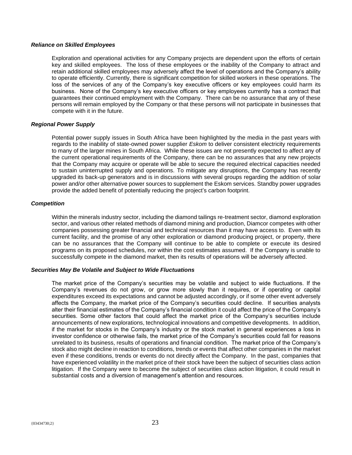#### *Reliance on Skilled Employees*

Exploration and operational activities for any Company projects are dependent upon the efforts of certain key and skilled employees. The loss of these employees or the inability of the Company to attract and retain additional skilled employees may adversely affect the level of operations and the Company's ability to operate efficiently. Currently, there is significant competition for skilled workers in these operations. The loss of the services of any of the Company's key executive officers or key employees could harm its business. None of the Company's key executive officers or key employees currently has a contract that guarantees their continued employment with the Company. There can be no assurance that any of these persons will remain employed by the Company or that these persons will not participate in businesses that compete with it in the future.

# *Regional Power Supply*

Potential power supply issues in South Africa have been highlighted by the media in the past years with regards to the inability of state-owned power supplier *Eskom* to deliver consistent electricity requirements to many of the larger mines in South Africa. While these issues are not presently expected to affect any of the current operational requirements of the Company, there can be no assurances that any new projects that the Company may acquire or operate will be able to secure the required electrical capacities needed to sustain uninterrupted supply and operations. To mitigate any disruptions, the Company has recently upgraded its back-up generators and is in discussions with several groups regarding the addition of solar power and/or other alternative power sources to supplement the Eskom services. Standby power upgrades provide the added benefit of potentially reducing the project's carbon footprint.

# *Competition*

Within the minerals industry sector, including the diamond tailings re-treatment sector, diamond exploration sector, and various other related methods of diamond mining and production, Diamcor competes with other companies possessing greater financial and technical resources than it may have access to. Even with its current facility, and the promise of any other exploration or diamond producing project, or property, there can be no assurances that the Company will continue to be able to complete or execute its desired programs on its proposed schedules, nor within the cost estimates assumed. If the Company is unable to successfully compete in the diamond market, then its results of operations will be adversely affected.

# *Securities May Be Volatile and Subject to Wide Fluctuations*

The market price of the Company's securities may be volatile and subject to wide fluctuations. If the Company's revenues do not grow, or grow more slowly than it requires, or if operating or capital expenditures exceed its expectations and cannot be adjusted accordingly, or if some other event adversely affects the Company, the market price of the Company's securities could decline. If securities analysts alter their financial estimates of the Company's financial condition it could affect the price of the Company's securities. Some other factors that could affect the market price of the Company's securities include announcements of new explorations, technological innovations and competitive developments. In addition, if the market for stocks in the Company's industry or the stock market in general experiences a loss in investor confidence or otherwise fails, the market price of the Company's securities could fall for reasons unrelated to its business, results of operations and financial condition. The market price of the Company's stock also might decline in reaction to conditions, trends or events that affect other companies in the market even if these conditions, trends or events do not directly affect the Company. In the past, companies that have experienced volatility in the market price of their stock have been the subject of securities class action litigation. If the Company were to become the subject of securities class action litigation, it could result in substantial costs and a diversion of management's attention and resources.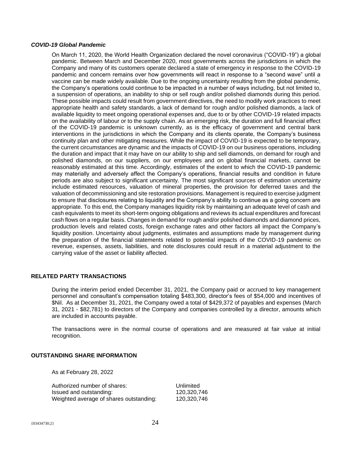#### *COVID-19 Global Pandemic*

On March 11, 2020, the World Health Organization declared the novel coronavirus ("COVID-19") a global pandemic. Between March and December 2020, most governments across the jurisdictions in which the Company and many of its customers operate declared a state of emergency in response to the COVID-19 pandemic and concern remains over how governments will react in response to a "second wave" until a vaccine can be made widely available. Due to the ongoing uncertainty resulting from the global pandemic, the Company's operations could continue to be impacted in a number of ways including, but not limited to, a suspension of operations, an inability to ship or sell rough and/or polished diamonds during this period. These possible impacts could result from government directives, the need to modify work practices to meet appropriate health and safety standards, a lack of demand for rough and/or polished diamonds, a lack of available liquidity to meet ongoing operational expenses and, due to or by other COVID-19 related impacts on the availability of labour or to the supply chain. As an emerging risk, the duration and full financial effect of the COVID-19 pandemic is unknown currently, as is the efficacy of government and central bank interventions in the jurisdictions in which the Company and its clients operate, the Company's business continuity plan and other mitigating measures. While the impact of COVID-19 is expected to be temporary, the current circumstances are dynamic and the impacts of COVID-19 on our business operations, including the duration and impact that it may have on our ability to ship and sell diamonds, on demand for rough and polished diamonds, on our suppliers, on our employees and on global financial markets, cannot be reasonably estimated at this time. Accordingly, estimates of the extent to which the COVID-19 pandemic may materially and adversely affect the Company's operations, financial results and condition in future periods are also subject to significant uncertainty. The most significant sources of estimation uncertainty include estimated resources, valuation of mineral properties, the provision for deferred taxes and the valuation of decommissioning and site restoration provisions. Management is required to exercise judgment to ensure that disclosures relating to liquidity and the Company's ability to continue as a going concern are appropriate. To this end, the Company manages liquidity risk by maintaining an adequate level of cash and cash equivalents to meet its short-term ongoing obligations and reviews its actual expenditures and forecast cash flows on a regular basis. Changes in demand for rough and/or polished diamonds and diamond prices, production levels and related costs, foreign exchange rates and other factors all impact the Company's liquidity position. Uncertainty about judgments, estimates and assumptions made by management during the preparation of the financial statements related to potential impacts of the COVID-19 pandemic on revenue, expenses, assets, liabilities, and note disclosures could result in a material adjustment to the carrying value of the asset or liability affected.

# **RELATED PARTY TRANSACTIONS**

During the interim period ended December 31, 2021, the Company paid or accrued to key management personnel and consultant's compensation totaling \$483,300, director's fees of \$54,000 and incentives of \$Nil. As at December 31, 2021, the Company owed a total of \$429,372 of payables and expenses (March 31, 2021 - \$82,781) to directors of the Company and companies controlled by a director, amounts which are included in accounts payable.

The transactions were in the normal course of operations and are measured at fair value at initial recognition.

#### **OUTSTANDING SHARE INFORMATION**

As at February 28, 2022

| Authorized number of shares:            | Unlimited   |
|-----------------------------------------|-------------|
| Issued and outstanding:                 | 120.320.746 |
| Weighted average of shares outstanding: | 120.320.746 |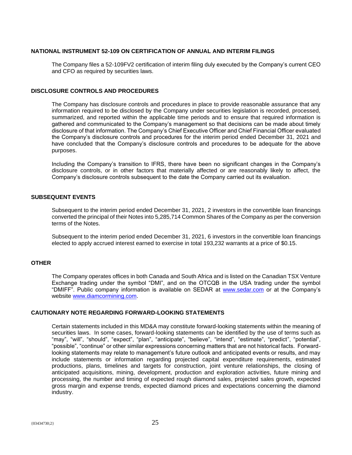# **NATIONAL INSTRUMENT 52-109 ON CERTIFICATION OF ANNUAL AND INTERIM FILINGS**

The Company files a 52-109FV2 certification of interim filing duly executed by the Company's current CEO and CFO as required by securities laws.

#### **DISCLOSURE CONTROLS AND PROCEDURES**

The Company has disclosure controls and procedures in place to provide reasonable assurance that any information required to be disclosed by the Company under securities legislation is recorded, processed, summarized, and reported within the applicable time periods and to ensure that required information is gathered and communicated to the Company's management so that decisions can be made about timely disclosure of that information. The Company's Chief Executive Officer and Chief Financial Officer evaluated the Company's disclosure controls and procedures for the interim period ended December 31, 2021 and have concluded that the Company's disclosure controls and procedures to be adequate for the above purposes.

Including the Company's transition to IFRS, there have been no significant changes in the Company's disclosure controls, or in other factors that materially affected or are reasonably likely to affect, the Company's disclosure controls subsequent to the date the Company carried out its evaluation.

# **SUBSEQUENT EVENTS**

Subsequent to the interim period ended December 31, 2021, 2 investors in the convertible loan financings converted the principal of their Notes into 5,285,714 Common Shares of the Company as per the conversion terms of the Notes.

Subsequent to the interim period ended December 31, 2021, 6 investors in the convertible loan financings elected to apply accrued interest earned to exercise in total 193,232 warrants at a price of \$0.15.

# **OTHER**

The Company operates offices in both Canada and South Africa and is listed on the Canadian TSX Venture Exchange trading under the symbol "DMI", and on the OTCQB in the USA trading under the symbol "DMIFF". Public company information is available on SEDAR at [www.sedar.com](http://www.sedar.com/) or at the Company's website [www.diamcormining.com.](http://www.diamcormining.com/)

# **CAUTIONARY NOTE REGARDING FORWARD-LOOKING STATEMENTS**

Certain statements included in this MD&A may constitute forward-looking statements within the meaning of securities laws. In some cases, forward-looking statements can be identified by the use of terms such as "may", "will", "should", "expect", "plan", "anticipate", "believe", "intend", "estimate", "predict", "potential", "possible", "continue" or other similar expressions concerning matters that are not historical facts. Forwardlooking statements may relate to management's future outlook and anticipated events or results, and may include statements or information regarding projected capital expenditure requirements, estimated productions, plans, timelines and targets for construction, joint venture relationships, the closing of anticipated acquisitions, mining, development, production and exploration activities, future mining and processing, the number and timing of expected rough diamond sales, projected sales growth, expected gross margin and expense trends, expected diamond prices and expectations concerning the diamond industry.